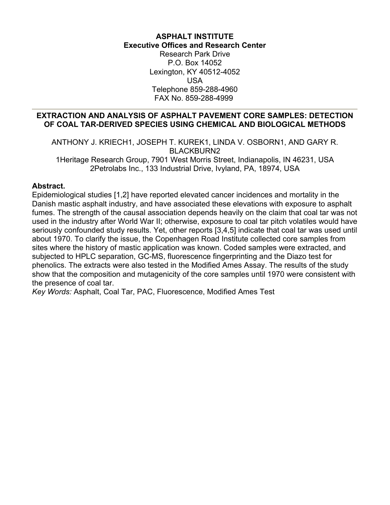# **ASPHALT INSTITUTE Executive Offices and Research Center**

Research Park Drive P.O. Box 14052 Lexington, KY 40512-4052 USA Telephone 859-288-4960 FAX No. 859-288-4999

## **EXTRACTION AND ANALYSIS OF ASPHALT PAVEMENT CORE SAMPLES: DETECTION OF COAL TAR-DERIVED SPECIES USING CHEMICAL AND BIOLOGICAL METHODS**

ANTHONY J. KRIECH1, JOSEPH T. KUREK1, LINDA V. OSBORN1, AND GARY R. BLACKBURN2 1Heritage Research Group, 7901 West Morris Street, Indianapolis, IN 46231, USA 2Petrolabs Inc., 133 Industrial Drive, Ivyland, PA, 18974, USA

## **Abstract.**

Epidemiological studies [1,2] have reported elevated cancer incidences and mortality in the Danish mastic asphalt industry, and have associated these elevations with exposure to asphalt fumes. The strength of the causal association depends heavily on the claim that coal tar was not used in the industry after World War II; otherwise, exposure to coal tar pitch volatiles would have seriously confounded study results. Yet, other reports [3,4,5] indicate that coal tar was used until about 1970. To clarify the issue, the Copenhagen Road Institute collected core samples from sites where the history of mastic application was known. Coded samples were extracted, and subjected to HPLC separation, GC-MS, fluorescence fingerprinting and the Diazo test for phenolics. The extracts were also tested in the Modified Ames Assay. The results of the study show that the composition and mutagenicity of the core samples until 1970 were consistent with the presence of coal tar.

*Key Words:* Asphalt, Coal Tar, PAC, Fluorescence, Modified Ames Test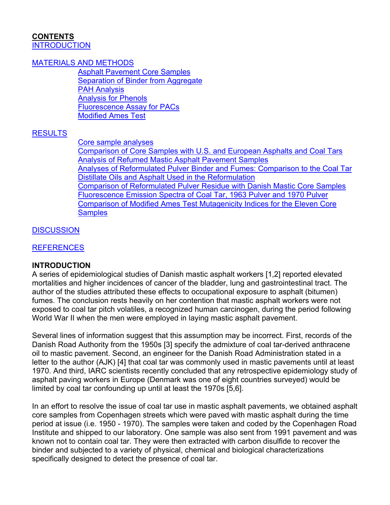#### <span id="page-1-0"></span>**CONTENTS [INTRODUCTION](#page-1-0)**

#### [MATERIALS AND METHODS](#page-2-0)

[Asphalt Pavement Core Samples](#page-2-0) **[Separation of Binder from Aggregate](#page-2-0)** [PAH Analysis](#page-2-0) [Analysis for Phenols](#page-3-0) [Fluorescence Assay for PACs](#page-3-0) [Modified Ames Test](#page-3-0)

# **[RESULTS](#page-3-0)**

[Core sample analyses](#page-4-0)

[Comparison of Core Samples with U.S. and European Asphalts and Coal Tars](#page-5-0) [Analysis of Refumed Mastic Asphalt Pavement Samples](#page-5-0) [Analyses of Reformulated Pulver Binder and Fumes: Comparison to the Coal Tar](#page-6-0)  [Distillate Oils and Asphalt Used in the Reformulation](#page-6-0) [Comparison of Reformulated Pulver Residue with Danish Mastic Core Samples](#page-7-0) [Fluorescence Emission Spectra of Coal Tar, 1963 Pulver and 1970 Pulver](#page-7-0) [Comparison of Modified Ames Test Mutagenicity Indices for the Eleven Core](#page-7-0)  **[Samples](#page-7-0)** 

## **[DISCUSSION](#page-8-0)**

## **[REFERENCES](#page-8-0)**

#### **INTRODUCTION**

A series of epidemiological studies of Danish mastic asphalt workers [1,2] reported elevated mortalities and higher incidences of cancer of the bladder, lung and gastrointestinal tract. The author of the studies attributed these effects to occupational exposure to asphalt (bitumen) fumes. The conclusion rests heavily on her contention that mastic asphalt workers were not exposed to coal tar pitch volatiles, a recognized human carcinogen, during the period following World War II when the men were employed in laying mastic asphalt pavement.

Several lines of information suggest that this assumption may be incorrect. First, records of the Danish Road Authority from the 1950s [3] specify the admixture of coal tar-derived anthracene oil to mastic pavement. Second, an engineer for the Danish Road Administration stated in a letter to the author (AJK) [4] that coal tar was commonly used in mastic pavements until at least 1970. And third, IARC scientists recently concluded that any retrospective epidemiology study of asphalt paving workers in Europe (Denmark was one of eight countries surveyed) would be limited by coal tar confounding up until at least the 1970s [5,6].

In an effort to resolve the issue of coal tar use in mastic asphalt pavements, we obtained asphalt core samples from Copenhagen streets which were paved with mastic asphalt during the time period at issue (i.e. 1950 - 1970). The samples were taken and coded by the Copenhagen Road Institute and shipped to our laboratory. One sample was also sent from 1991 pavement and was known not to contain coal tar. They were then extracted with carbon disulfide to recover the binder and subjected to a variety of physical, chemical and biological characterizations specifically designed to detect the presence of coal tar.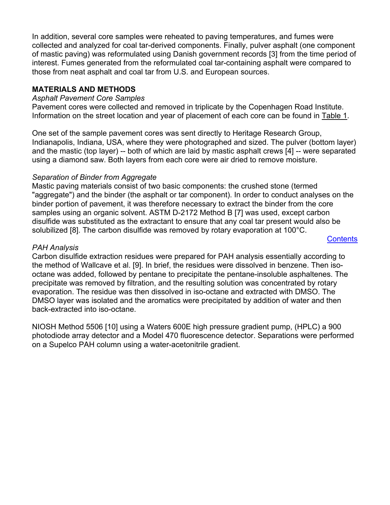<span id="page-2-0"></span>In addition, several core samples were reheated to paving temperatures, and fumes were collected and analyzed for coal tar-derived components. Finally, pulver asphalt (one component of mastic paving) was reformulated using Danish government records [3] from the time period of interest. Fumes generated from the reformulated coal tar-containing asphalt were compared to those from neat asphalt and coal tar from U.S. and European sources.

## **MATERIALS AND METHODS**

#### *Asphalt Pavement Core Samples*

Pavement cores were collected and removed in triplicate by the Copenhagen Road Institute. Information on the street location and year of placement of each core can be found in [Table 1](#page-3-0).

One set of the sample pavement cores was sent directly to Heritage Research Group, Indianapolis, Indiana, USA, where they were photographed and sized. The pulver (bottom layer) and the mastic (top layer) -- both of which are laid by mastic asphalt crews [4] -- were separated using a diamond saw. Both layers from each core were air dried to remove moisture.

## *Separation of Binder from Aggregate*

Mastic paving materials consist of two basic components: the crushed stone (termed "aggregate") and the binder (the asphalt or tar component). In order to conduct analyses on the binder portion of pavement, it was therefore necessary to extract the binder from the core samples using an organic solvent. ASTM D-2172 Method B [7] was used, except carbon disulfide was substituted as the extractant to ensure that any coal tar present would also be solubilized [8]. The carbon disulfide was removed by rotary evaporation at 100°C.

**[Contents](#page-1-0)** 

#### *PAH Analysis*

Carbon disulfide extraction residues were prepared for PAH analysis essentially according to the method of Wallcave et al. [9]. In brief, the residues were dissolved in benzene. Then isooctane was added, followed by pentane to precipitate the pentane-insoluble asphaltenes. The precipitate was removed by filtration, and the resulting solution was concentrated by rotary evaporation. The residue was then dissolved in iso-octane and extracted with DMSO. The DMSO layer was isolated and the aromatics were precipitated by addition of water and then back-extracted into iso-octane.

NIOSH Method 5506 [10] using a Waters 600E high pressure gradient pump, (HPLC) a 900 photodiode array detector and a Model 470 fluorescence detector. Separations were performed on a Supelco PAH column using a water-acetonitrile gradient.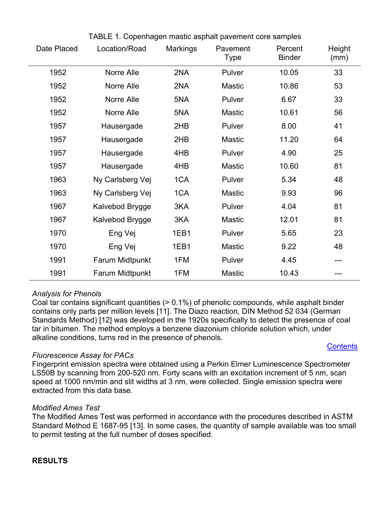<span id="page-3-0"></span>

| Date Placed | Location/Road    | <b>Markings</b> | Pavement<br><b>Type</b> | Percent<br><b>Binder</b> | Height<br>(mm) |
|-------------|------------------|-----------------|-------------------------|--------------------------|----------------|
| 1952        | Norre Alle       | 2NA             | Pulver                  | 10.05                    | 33             |
| 1952        | Norre Alle       | 2NA             | <b>Mastic</b>           | 10.86                    | 53             |
| 1952        | Norre Alle       | 5NA             | Pulver                  | 6.67                     | 33             |
| 1952        | Norre Alle       | 5NA             | <b>Mastic</b>           | 10.61                    | 56             |
| 1957        | Hausergade       | 2HB             | Pulver                  | 8.00                     | 41             |
| 1957        | Hausergade       | 2HB             | <b>Mastic</b>           | 11.20                    | 64             |
| 1957        | Hausergade       | 4HB             | Pulver                  | 4.90                     | 25             |
| 1957        | Hausergade       | 4HB             | <b>Mastic</b>           | 10.60                    | 81             |
| 1963        | Ny Carlsberg Vej | 1CA             | Pulver                  | 5.34                     | 48             |
| 1963        | Ny Carlsberg Vej | 1CA             | <b>Mastic</b>           | 9.93                     | 96             |
| 1967        | Kalvebod Brygge  | 3KA             | Pulver                  | 4.04                     | 81             |
| 1967        | Kalvebod Brygge  | 3KA             | <b>Mastic</b>           | 12.01                    | 81             |
| 1970        | Eng Vej          | 1EB1            | Pulver                  | 5.65                     | 23             |
| 1970        | Eng Vej          | 1EB1            | <b>Mastic</b>           | 9.22                     | 48             |
| 1991        | Farum Midtpunkt  | 1FM             | Pulver                  | 4.45                     | ---            |
| 1991        | Farum Midtpunkt  | 1FM             | <b>Mastic</b>           | 10.43                    |                |

# TABLE 1. Copenhagen mastic asphalt pavement core samples

#### *Analysis for Phenols*

Coal tar contains significant quantities (> 0.1%) of phenolic compounds, while asphalt binder contains only parts per million levels [11]. The Diazo reaction, DIN Method 52 034 (German Standards Method) [12] was developed in the 1920s specifically to detect the presence of coal tar in bitumen. The method employs a benzene diazonium chloride solution which, under alkaline conditions, turns red in the presence of phenols.

# **[Contents](#page-1-0)**

#### *Fluorescence Assay for PACs*

Fingerprint emission spectra were obtained using a Perkin Elmer Luminescence Spectrometer LS50B by scanning from 200-520 nm. Forty scans with an excitation increment of 5 nm, scan speed at 1000 nm/min and slit widths at 3 nm, were collected. Single emission spectra were extracted from this data base.

#### *Modified Ames Test*

The Modified Ames Test was performed in accordance with the procedures described in ASTM Standard Method E 1687-95 [13]. In some cases, the quantity of sample available was too small to permit testing at the full number of doses specified.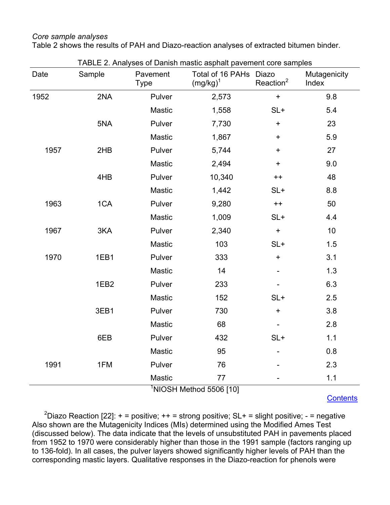#### <span id="page-4-0"></span>*Core sample analyses*

Table 2 shows the results of PAH and Diazo-reaction analyses of extracted bitumen binder.

| Date | Sample           | Pavement<br><b>Type</b> | Total of 16 PAHs Diazo<br>$(mg/kg)^1$ | Reaction <sup>2</sup> | Mutagenicity<br>Index |
|------|------------------|-------------------------|---------------------------------------|-----------------------|-----------------------|
| 1952 | 2NA              | Pulver                  | 2,573                                 | $\ddot{}$             | 9.8                   |
|      |                  | Mastic                  | 1,558                                 | $SL+$                 | 5.4                   |
|      | 5NA              | Pulver                  | 7,730                                 | $\ddag$               | 23                    |
|      |                  | Mastic                  | 1,867                                 | $\ddot{}$             | 5.9                   |
| 1957 | 2HB              | Pulver                  | 5,744                                 | $\ddot{}$             | 27                    |
|      |                  | <b>Mastic</b>           | 2,494                                 | $\ddot{}$             | 9.0                   |
|      | 4HB              | Pulver                  | 10,340                                | $++$                  | 48                    |
|      |                  | <b>Mastic</b>           | 1,442                                 | $SL+$                 | 8.8                   |
| 1963 | 1CA              | Pulver                  | 9,280                                 | $++$                  | 50                    |
|      |                  | Mastic                  | 1,009                                 | $SL+$                 | 4.4                   |
| 1967 | 3KA              | Pulver                  | 2,340                                 | $\ddot{}$             | 10                    |
|      |                  | Mastic                  | 103                                   | $SL+$                 | 1.5                   |
| 1970 | 1EB1             | Pulver                  | 333                                   | $\ddot{}$             | 3.1                   |
|      |                  | Mastic                  | 14                                    |                       | 1.3                   |
|      | 1EB <sub>2</sub> | Pulver                  | 233                                   |                       | 6.3                   |
|      |                  | Mastic                  | 152                                   | $SL+$                 | 2.5                   |
|      | 3EB1             | Pulver                  | 730                                   | $\ddot{}$             | 3.8                   |
|      |                  | Mastic                  | 68                                    |                       | 2.8                   |
|      | 6EB              | Pulver                  | 432                                   | $SL+$                 | 1.1                   |
|      |                  | Mastic                  | 95                                    |                       | 0.8                   |
| 1991 | 1FM              | Pulver                  | 76                                    |                       | 2.3                   |
|      |                  | <b>Mastic</b>           | 77                                    |                       | 1.1                   |

TABLE 2. Analyses of Danish mastic asphalt pavement core samples

**[Contents](#page-1-0)** 

<sup>2</sup>Diazo Reaction [22]: + = positive; ++ = strong positive; SL+ = slight positive; - = negative Also shown are the Mutagenicity Indices (MIs) determined using the Modified Ames Test (discussed below). The data indicate that the levels of unsubstituted PAH in pavements placed from 1952 to 1970 were considerably higher than those in the 1991 sample (factors ranging up to 136-fold). In all cases, the pulver layers showed significantly higher levels of PAH than the corresponding mastic layers. Qualitative responses in the Diazo-reaction for phenols were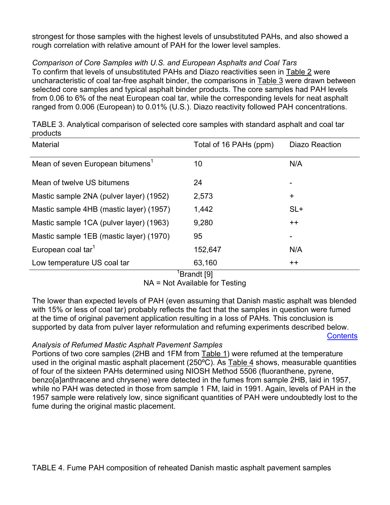<span id="page-5-0"></span>strongest for those samples with the highest levels of unsubstituted PAHs, and also showed a rough correlation with relative amount of PAH for the lower level samples.

# *Comparison of Core Samples with U.S. and European Asphalts and Coal Tars*

To confirm that levels of unsubstituted PAHs and Diazo reactivities seen in [Table 2](#page-4-0) were uncharacteristic of coal tar-free asphalt binder, the comparisons in [Table 3](#page-5-0) were drawn between selected core samples and typical asphalt binder products. The core samples had PAH levels from 0.06 to 6% of the neat European coal tar, while the corresponding levels for neat asphalt ranged from 0.006 (European) to 0.01% (U.S.). Diazo reactivity followed PAH concentrations.

| <b>Material</b>                              | Total of 16 PAHs (ppm) | <b>Diazo Reaction</b> |
|----------------------------------------------|------------------------|-----------------------|
| Mean of seven European bitumens <sup>1</sup> | 10                     | N/A                   |
| Mean of twelve US bitumens                   | 24                     |                       |
| Mastic sample 2NA (pulver layer) (1952)      | 2,573                  | $+$                   |
| Mastic sample 4HB (mastic layer) (1957)      | 1,442                  | $SL+$                 |
| Mastic sample 1CA (pulver layer) (1963)      | 9,280                  | $++$                  |
| Mastic sample 1EB (mastic layer) (1970)      | 95                     |                       |
| European coal tar <sup>1</sup>               | 152,647                | N/A                   |
| Low temperature US coal tar<br>$1 -$         | 63,160<br>$\cdots$     | $++$                  |

TABLE 3. Analytical comparison of selected core samples with standard asphalt and coal tar products

# <sup>1</sup>Brandt [9]

NA = Not Available for Testing

The lower than expected levels of PAH (even assuming that Danish mastic asphalt was blended with 15% or less of coal tar) probably reflects the fact that the samples in question were fumed at the time of original pavement application resulting in a loss of PAHs. This conclusion is supported by data from pulver layer reformulation and refuming experiments described below.

# **[Contents](#page-1-0)**

# *Analysis of Refumed Mastic Asphalt Pavement Samples*

Portions of two core samples (2HB and 1FM from [Table 1\)](#page-3-0) were refumed at the temperature used in the original mastic asphalt placement (250ºC). As [Table 4](#page-6-0) shows, measurable quantities of four of the sixteen PAHs determined using NIOSH Method 5506 (fluoranthene, pyrene, benzo[a]anthracene and chrysene) were detected in the fumes from sample 2HB, laid in 1957, while no PAH was detected in those from sample 1 FM, laid in 1991. Again, levels of PAH in the 1957 sample were relatively low, since significant quantities of PAH were undoubtedly lost to the fume during the original mastic placement.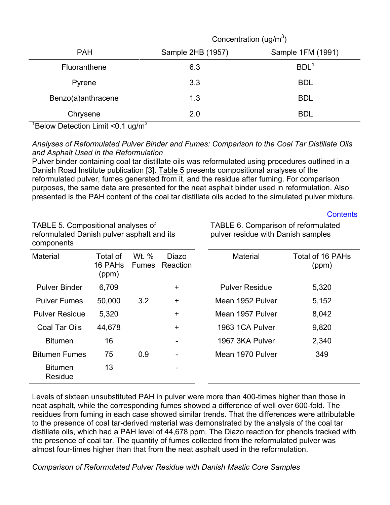<span id="page-6-0"></span>

|                    | Concentration (ug/m <sup>3</sup> ) |                   |  |
|--------------------|------------------------------------|-------------------|--|
| <b>PAH</b>         | Sample 2HB (1957)                  | Sample 1FM (1991) |  |
| Fluoranthene       | 6.3                                | BDL <sup>1</sup>  |  |
| Pyrene             | 3.3                                | <b>BDL</b>        |  |
| Benzo(a)anthracene | 1.3                                | <b>BDL</b>        |  |
| Chrysene           | 2.0                                | <b>BDL</b>        |  |

 $1$ Below Detection Limit <0.1 ug/m $3$ 

# *Analyses of Reformulated Pulver Binder and Fumes: Comparison to the Coal Tar Distillate Oils and Asphalt Used in the Reformulation*

Pulver binder containing coal tar distillate oils was reformulated using procedures outlined in a Danish Road Institute publication [3]. [Table 5](#page-6-0) presents compositional analyses of the reformulated pulver, fumes generated from it, and the residue after fuming. For comparison purposes, the same data are presented for the neat asphalt binder used in reformulation. Also presented is the PAH content of the coal tar distillate oils added to the simulated pulver mixture.

**[Contents](#page-1-0)** 

| TABLE 5. Compositional analyses of<br>reformulated Danish pulver asphalt and its<br>components |                              |                       |                   | TABLE 6. Comparison of reformulated<br>pulver residue with Danish samples |                           |  |
|------------------------------------------------------------------------------------------------|------------------------------|-----------------------|-------------------|---------------------------------------------------------------------------|---------------------------|--|
| <b>Material</b>                                                                                | Total of<br>16 PAHs<br>(ppm) | Wt. %<br><b>Fumes</b> | Diazo<br>Reaction | <b>Material</b>                                                           | Total of 16 PAHs<br>(ppm) |  |
| <b>Pulver Binder</b>                                                                           | 6,709                        |                       | $\ddot{}$         | <b>Pulver Residue</b>                                                     | 5,320                     |  |
| <b>Pulver Fumes</b>                                                                            | 50,000                       | 3.2                   | $\ddot{}$         | Mean 1952 Pulver                                                          | 5,152                     |  |
| <b>Pulver Residue</b>                                                                          | 5,320                        |                       | $+$               | Mean 1957 Pulver                                                          | 8,042                     |  |
| Coal Tar Oils                                                                                  | 44,678                       |                       | $+$               | 1963 1CA Pulver                                                           | 9,820                     |  |
| <b>Bitumen</b>                                                                                 | 16                           |                       |                   | 1967 3KA Pulver                                                           | 2,340                     |  |
| <b>Bitumen Fumes</b>                                                                           | 75                           | 0.9                   |                   | Mean 1970 Pulver                                                          | 349                       |  |
| <b>Bitumen</b><br>Residue                                                                      | 13                           |                       |                   |                                                                           |                           |  |

Levels of sixteen unsubstituted PAH in pulver were more than 400-times higher than those in neat asphalt, while the corresponding fumes showed a difference of well over 600-fold. The residues from fuming in each case showed similar trends. That the differences were attributable to the presence of coal tar-derived material was demonstrated by the analysis of the coal tar distillate oils, which had a PAH level of 44,678 ppm. The Diazo reaction for phenols tracked with the presence of coal tar. The quantity of fumes collected from the reformulated pulver was almost four-times higher than that from the neat asphalt used in the reformulation.

*Comparison of Reformulated Pulver Residue with Danish Mastic Core Samples*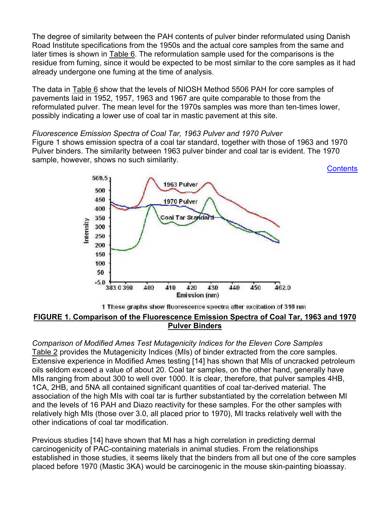<span id="page-7-0"></span>The degree of similarity between the PAH contents of pulver binder reformulated using Danish Road Institute specifications from the 1950s and the actual core samples from the same and later times is shown in [Table](#page-6-0) 6. The reformulation sample used for the comparisons is the residue from fuming, since it would be expected to be most similar to the core samples as it had already undergone one fuming at the time of analysis.

The data in [Table](#page-6-0) 6 show that the levels of NIOSH Method 5506 PAH for core samples of pavements laid in 1952, 1957, 1963 and 1967 are quite comparable to those from the reformulated pulver. The mean level for the 1970s samples was more than ten-times lower, possibly indicating a lower use of coal tar in mastic pavement at this site.

#### *Fluorescence Emission Spectra of Coal Tar, 1963 Pulver and 1970 Pulver*

Figure 1 shows emission spectra of a coal tar standard, together with those of 1963 and 1970 Pulver binders. The similarity between 1963 pulver binder and coal tar is evident. The 1970 sample, however, shows no such similarity.

**[Contents](#page-1-0)** 



#### 1 These graphs show fluorescence spectra after excitation of 310 nm **FIGURE 1. Comparison of the Fluorescence Emission Spectra of Coal Tar, 1963 and 1970 Pulver Binders**

*Comparison of Modified Ames Test Mutagenicity Indices for the Eleven Core Samples*  [Table 2](#page-4-0) provides the Mutagenicity Indices (MIs) of binder extracted from the core samples. Extensive experience in Modified Ames testing [14] has shown that MIs of uncracked petroleum oils seldom exceed a value of about 20. Coal tar samples, on the other hand, generally have MIs ranging from about 300 to well over 1000. It is clear, therefore, that pulver samples 4HB, 1CA, 2HB, and 5NA all contained significant quantities of coal tar-derived material. The association of the high MIs with coal tar is further substantiated by the correlation between MI and the levels of 16 PAH and Diazo reactivity for these samples. For the other samples with relatively high MIs (those over 3.0, all placed prior to 1970), MI tracks relatively well with the other indications of coal tar modification.

Previous studies [14] have shown that MI has a high correlation in predicting dermal carcinogenicity of PAC-containing materials in animal studies. From the relationships established in those studies, it seems likely that the binders from all but one of the core samples placed before 1970 (Mastic 3KA) would be carcinogenic in the mouse skin-painting bioassay.